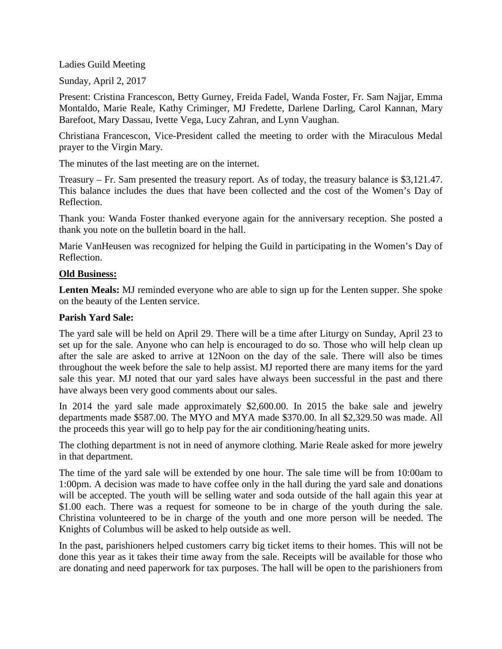## Ladies Guild Meeting

Sunday, April 2, 2017

Present: Cristina Francescon, Betty Gurney, Freida Fadel, Wanda Foster, Fr. Sam Najjar, Emma Montaldo, Marie Reale, Kathy Criminger, MJ Fredette, Darlene Darling, Carol Kannan, Mary Barefoot, Mary Dassau, Ivette Vega, Lucy Zahran, and Lynn Vaughan.

Christiana Francescon, Vice-President called the meeting to order with the Miraculous Medal prayer to the Virgin Mary.

The minutes of the last meeting are on the internet.

Treasury – Fr. Sam presented the treasury report. As of today, the treasury balance is \$3,121.47. This balance includes the dues that have been collected and the cost of the Women's Day of Reflection.

Thank you: Wanda Foster thanked everyone again for the anniversary reception. She posted a thank you note on the bulletin board in the hall.

Marie VanHeusen was recognized for helping the Guild in participating in the Women's Day of Reflection.

## **Old Business:**

**Lenten Meals:** MJ reminded everyone who are able to sign up for the Lenten supper. She spoke on the beauty of the Lenten service.

## **Parish Yard Sale:**

The yard sale will be held on April 29. There will be a time after Liturgy on Sunday, April 23 to set up for the sale. Anyone who can help is encouraged to do so. Those who will help clean up after the sale are asked to arrive at 12Noon on the day of the sale. There will also be times throughout the week before the sale to help assist. MJ reported there are many items for the yard sale this year. MJ noted that our yard sales have always been successful in the past and there have always been very good comments about our sales.

In 2014 the yard sale made approximately \$2,600.00. In 2015 the bake sale and jewelry departments made \$587.00. The MYO and MYA made \$370.00. In all \$2,329.50 was made. All the proceeds this year will go to help pay for the air conditioning/heating units.

The clothing department is not in need of anymore clothing. Marie Reale asked for more jewelry in that department.

The time of the yard sale will be extended by one hour. The sale time will be from 10:00am to 1:00pm. A decision was made to have coffee only in the hall during the yard sale and donations will be accepted. The youth will be selling water and soda outside of the hall again this year at \$1.00 each. There was a request for someone to be in charge of the youth during the sale. Christina volunteered to be in charge of the youth and one more person will be needed. The Knights of Columbus will be asked to help outside as well.

In the past, parishioners helped customers carry big ticket items to their homes. This will not be done this year as it takes their time away from the sale. Receipts will be available for those who are donating and need paperwork for tax purposes. The hall will be open to the parishioners from